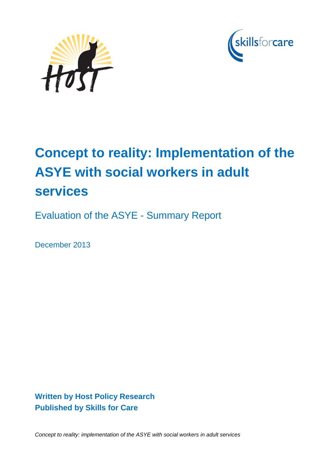



# **Concept to reality: Implementation of the ASYE with social workers in adult services**

Evaluation of the ASYE - Summary Report

December 2013

**Written by Host Policy Research Published by Skills for Care** 

*Concept to reality: implementation of the ASYE with social workers in adult services*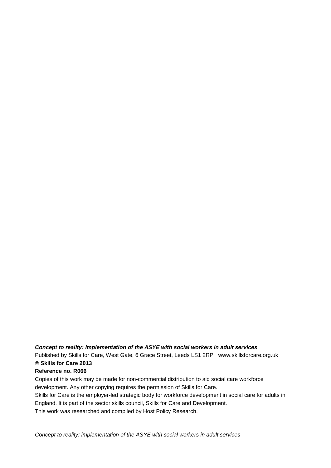*Concept to reality: implementation of the ASYE with social workers in adult services*

Published by Skills for Care, West Gate, 6 Grace Street, Leeds LS1 2RP www.skillsforcare.org.uk **© Skills for Care 2013**

#### **Reference no. R066**

Copies of this work may be made for non-commercial distribution to aid social care workforce development. Any other copying requires the permission of Skills for Care. Skills for Care is the employer-led strategic body for workforce development in social care for adults in

England. It is part of the sector skills council, Skills for Care and Development.

This work was researched and compiled by Host Policy Research.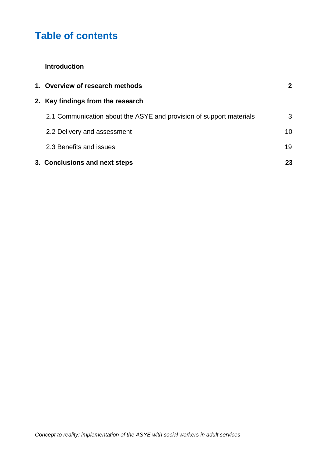# **Table of contents**

#### **Introduction**

| 1. Overview of research methods                                     | $\mathbf{2}$ |
|---------------------------------------------------------------------|--------------|
| 2. Key findings from the research                                   |              |
| 2.1 Communication about the ASYE and provision of support materials | 3            |
| 2.2 Delivery and assessment                                         | 10           |
| 2.3 Benefits and issues                                             | 19           |
| 3. Conclusions and next steps                                       | 23           |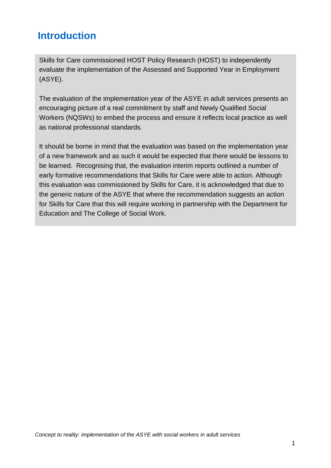# **Introduction**

Skills for Care commissioned HOST Policy Research (HOST) to independently evaluate the implementation of the Assessed and Supported Year in Employment (ASYE).

The evaluation of the implementation year of the ASYE in adult services presents an encouraging picture of a real commitment by staff and Newly Qualified Social Workers (NQSWs) to embed the process and ensure it reflects local practice as well as national professional standards.

It should be borne in mind that the evaluation was based on the implementation year of a new framework and as such it would be expected that there would be lessons to be learned. Recognising that, the evaluation interim reports outlined a number of early formative recommendations that Skills for Care were able to action. Although this evaluation was commissioned by Skills for Care, it is acknowledged that due to the generic nature of the ASYE that where the recommendation suggests an action for Skills for Care that this will require working in partnership with the Department for Education and The College of Social Work.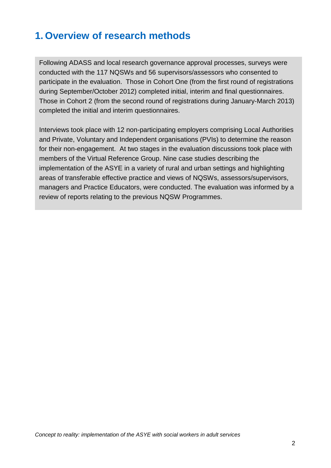# **1. Overview of research methods**

Following ADASS and local research governance approval processes, surveys were conducted with the 117 NQSWs and 56 supervisors/assessors who consented to participate in the evaluation. Those in Cohort One (from the first round of registrations during September/October 2012) completed initial, interim and final questionnaires. Those in Cohort 2 (from the second round of registrations during January-March 2013) completed the initial and interim questionnaires.

Interviews took place with 12 non-participating employers comprising Local Authorities and Private, Voluntary and Independent organisations (PVIs) to determine the reason for their non-engagement. At two stages in the evaluation discussions took place with members of the Virtual Reference Group. Nine case studies describing the implementation of the ASYE in a variety of rural and urban settings and highlighting areas of transferable effective practice and views of NQSWs, assessors/supervisors, managers and Practice Educators, were conducted. The evaluation was informed by a review of reports relating to the previous NQSW Programmes.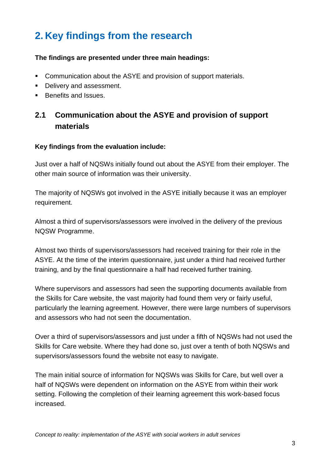# **2. Key findings from the research**

#### **The findings are presented under three main headings:**

- **Communication about the ASYE and provision of support materials.**
- Delivery and assessment.
- Benefits and Issues.

# **2.1 Communication about the ASYE and provision of support materials**

#### **Key findings from the evaluation include:**

Just over a half of NQSWs initially found out about the ASYE from their employer. The other main source of information was their university.

The majority of NQSWs got involved in the ASYE initially because it was an employer requirement.

Almost a third of supervisors/assessors were involved in the delivery of the previous NQSW Programme.

Almost two thirds of supervisors/assessors had received training for their role in the ASYE. At the time of the interim questionnaire, just under a third had received further training, and by the final questionnaire a half had received further training.

Where supervisors and assessors had seen the supporting documents available from the Skills for Care website, the vast majority had found them very or fairly useful, particularly the learning agreement. However, there were large numbers of supervisors and assessors who had not seen the documentation.

Over a third of supervisors/assessors and just under a fifth of NQSWs had not used the Skills for Care website. Where they had done so, just over a tenth of both NQSWs and supervisors/assessors found the website not easy to navigate.

The main initial source of information for NQSWs was Skills for Care, but well over a half of NQSWs were dependent on information on the ASYE from within their work setting. Following the completion of their learning agreement this work-based focus increased.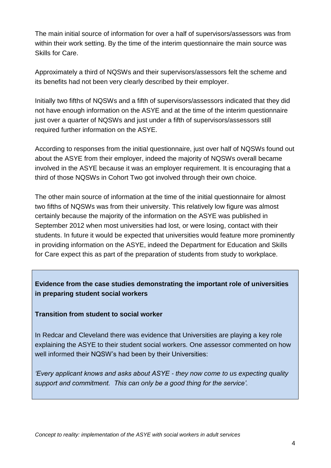The main initial source of information for over a half of supervisors/assessors was from within their work setting. By the time of the interim questionnaire the main source was Skills for Care.

Approximately a third of NQSWs and their supervisors/assessors felt the scheme and its benefits had not been very clearly described by their employer.

Initially two fifths of NQSWs and a fifth of supervisors/assessors indicated that they did not have enough information on the ASYE and at the time of the interim questionnaire just over a quarter of NQSWs and just under a fifth of supervisors/assessors still required further information on the ASYE.

According to responses from the initial questionnaire, just over half of NQSWs found out about the ASYE from their employer, indeed the majority of NQSWs overall became involved in the ASYE because it was an employer requirement. It is encouraging that a third of those NQSWs in Cohort Two got involved through their own choice.

The other main source of information at the time of the initial questionnaire for almost two fifths of NQSWs was from their university. This relatively low figure was almost certainly because the majority of the information on the ASYE was published in September 2012 when most universities had lost, or were losing, contact with their students. In future it would be expected that universities would feature more prominently in providing information on the ASYE, indeed the Department for Education and Skills for Care expect this as part of the preparation of students from study to workplace.

### **Evidence from the case studies demonstrating the important role of universities in preparing student social workers**

**Transition from student to social worker**

In Redcar and Cleveland there was evidence that Universities are playing a key role explaining the ASYE to their student social workers. One assessor commented on how well informed their NQSW"s had been by their Universities:

*'Every applicant knows and asks about ASYE - they now come to us expecting quality support and commitment. This can only be a good thing for the service'.*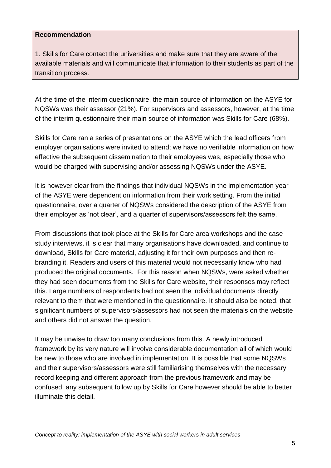#### **Recommendation**

1. Skills for Care contact the universities and make sure that they are aware of the available materials and will communicate that information to their students as part of the transition process.

At the time of the interim questionnaire, the main source of information on the ASYE for NQSWs was their assessor (21%). For supervisors and assessors, however, at the time of the interim questionnaire their main source of information was Skills for Care (68%).

Skills for Care ran a series of presentations on the ASYE which the lead officers from employer organisations were invited to attend; we have no verifiable information on how effective the subsequent dissemination to their employees was, especially those who would be charged with supervising and/or assessing NQSWs under the ASYE.

It is however clear from the findings that individual NQSWs in the implementation year of the ASYE were dependent on information from their work setting. From the initial questionnaire, over a quarter of NQSWs considered the description of the ASYE from their employer as "not clear", and a quarter of supervisors/assessors felt the same.

From discussions that took place at the Skills for Care area workshops and the case study interviews, it is clear that many organisations have downloaded, and continue to download, Skills for Care material, adjusting it for their own purposes and then rebranding it. Readers and users of this material would not necessarily know who had produced the original documents. For this reason when NQSWs, were asked whether they had seen documents from the Skills for Care website, their responses may reflect this. Large numbers of respondents had not seen the individual documents directly relevant to them that were mentioned in the questionnaire. It should also be noted, that significant numbers of supervisors/assessors had not seen the materials on the website and others did not answer the question.

It may be unwise to draw too many conclusions from this. A newly introduced framework by its very nature will involve considerable documentation all of which would be new to those who are involved in implementation. It is possible that some NQSWs and their supervisors/assessors were still familiarising themselves with the necessary record keeping and different approach from the previous framework and may be confused; any subsequent follow up by Skills for Care however should be able to better illuminate this detail.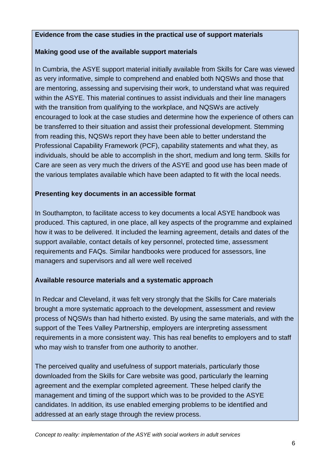#### **Evidence from the case studies in the practical use of support materials**

#### **Making good use of the available support materials**

In Cumbria, the ASYE support material initially available from Skills for Care was viewed as very informative, simple to comprehend and enabled both NQSWs and those that are mentoring, assessing and supervising their work, to understand what was required within the ASYE. This material continues to assist individuals and their line managers with the transition from qualifying to the workplace, and NQSWs are actively encouraged to look at the case studies and determine how the experience of others can be transferred to their situation and assist their professional development. Stemming from reading this, NQSWs report they have been able to better understand the Professional Capability Framework (PCF), capability statements and what they, as individuals, should be able to accomplish in the short, medium and long term. Skills for Care are seen as very much the drivers of the ASYE and good use has been made of the various templates available which have been adapted to fit with the local needs.

#### **Presenting key documents in an accessible format**

In Southampton, to facilitate access to key documents a local ASYE handbook was produced. This captured, in one place, all key aspects of the programme and explained how it was to be delivered. It included the learning agreement, details and dates of the support available, contact details of key personnel, protected time, assessment requirements and FAQs. Similar handbooks were produced for assessors, line managers and supervisors and all were well received

#### **Available resource materials and a systematic approach**

In Redcar and Cleveland, it was felt very strongly that the Skills for Care materials brought a more systematic approach to the development, assessment and review process of NQSWs than had hitherto existed. By using the same materials, and with the support of the Tees Valley Partnership, employers are interpreting assessment requirements in a more consistent way. This has real benefits to employers and to staff who may wish to transfer from one authority to another.

The perceived quality and usefulness of support materials, particularly those downloaded from the Skills for Care website was good, particularly the learning agreement and the exemplar completed agreement. These helped clarify the management and timing of the support which was to be provided to the ASYE candidates. In addition, its use enabled emerging problems to be identified and addressed at an early stage through the review process.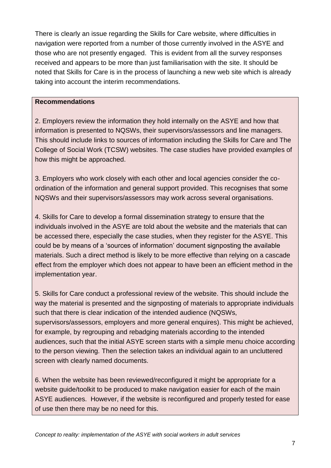There is clearly an issue regarding the Skills for Care website, where difficulties in navigation were reported from a number of those currently involved in the ASYE and those who are not presently engaged. This is evident from all the survey responses received and appears to be more than just familiarisation with the site. It should be noted that Skills for Care is in the process of launching a new web site which is already taking into account the interim recommendations.

#### **Recommendations**

2. Employers review the information they hold internally on the ASYE and how that information is presented to NQSWs, their supervisors/assessors and line managers. This should include links to sources of information including the Skills for Care and The College of Social Work (TCSW) websites. The case studies have provided examples of how this might be approached.

3. Employers who work closely with each other and local agencies consider the coordination of the information and general support provided. This recognises that some NQSWs and their supervisors/assessors may work across several organisations.

4. Skills for Care to develop a formal dissemination strategy to ensure that the individuals involved in the ASYE are told about the website and the materials that can be accessed there, especially the case studies, when they register for the ASYE. This could be by means of a "sources of information" document signposting the available materials. Such a direct method is likely to be more effective than relying on a cascade effect from the employer which does not appear to have been an efficient method in the implementation year.

5. Skills for Care conduct a professional review of the website. This should include the way the material is presented and the signposting of materials to appropriate individuals such that there is clear indication of the intended audience (NQSWs, supervisors/assessors, employers and more general enquires). This might be achieved, for example, by regrouping and rebadging materials according to the intended audiences, such that the initial ASYE screen starts with a simple menu choice according to the person viewing. Then the selection takes an individual again to an uncluttered screen with clearly named documents.

6. When the website has been reviewed/reconfigured it might be appropriate for a website guide/toolkit to be produced to make navigation easier for each of the main ASYE audiences. However, if the website is reconfigured and properly tested for ease of use then there may be no need for this.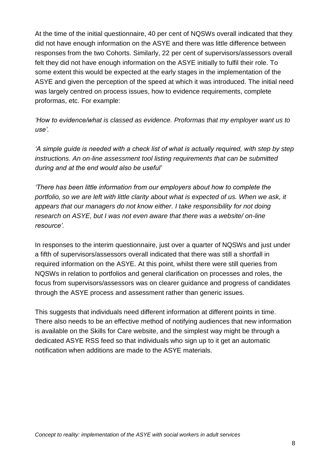At the time of the initial questionnaire, 40 per cent of NQSWs overall indicated that they did not have enough information on the ASYE and there was little difference between responses from the two Cohorts. Similarly, 22 per cent of supervisors/assessors overall felt they did not have enough information on the ASYE initially to fulfil their role. To some extent this would be expected at the early stages in the implementation of the ASYE and given the perception of the speed at which it was introduced. The initial need was largely centred on process issues, how to evidence requirements, complete proformas, etc. For example:

*'How to evidence/what is classed as evidence. Proformas that my employer want us to use'.*

*'A simple guide is needed with a check list of what is actually required, with step by step instructions. An on-line assessment tool listing requirements that can be submitted during and at the end would also be useful'*

*'There has been little information from our employers about how to complete the portfolio, so we are left with little clarity about what is expected of us. When we ask, it appears that our managers do not know either. I take responsibility for not doing research on ASYE, but I was not even aware that there was a website/ on-line resource'.*

In responses to the interim questionnaire, just over a quarter of NQSWs and just under a fifth of supervisors/assessors overall indicated that there was still a shortfall in required information on the ASYE. At this point, whilst there were still queries from NQSWs in relation to portfolios and general clarification on processes and roles, the focus from supervisors/assessors was on clearer guidance and progress of candidates through the ASYE process and assessment rather than generic issues.

This suggests that individuals need different information at different points in time. There also needs to be an effective method of notifying audiences that new information is available on the Skills for Care website, and the simplest way might be through a dedicated ASYE RSS feed so that individuals who sign up to it get an automatic notification when additions are made to the ASYE materials.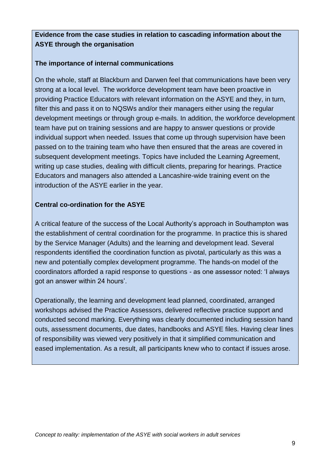#### **Evidence from the case studies in relation to cascading information about the ASYE through the organisation**

#### **The importance of internal communications**

On the whole, staff at Blackburn and Darwen feel that communications have been very strong at a local level. The workforce development team have been proactive in providing Practice Educators with relevant information on the ASYE and they, in turn, filter this and pass it on to NQSWs and/or their managers either using the regular development meetings or through group e-mails. In addition, the workforce development team have put on training sessions and are happy to answer questions or provide individual support when needed. Issues that come up through supervision have been passed on to the training team who have then ensured that the areas are covered in subsequent development meetings. Topics have included the Learning Agreement, writing up case studies, dealing with difficult clients, preparing for hearings. Practice Educators and managers also attended a Lancashire-wide training event on the introduction of the ASYE earlier in the year.

#### **Central co-ordination for the ASYE**

A critical feature of the success of the Local Authority"s approach in Southampton was the establishment of central coordination for the programme. In practice this is shared by the Service Manager (Adults) and the learning and development lead. Several respondents identified the coordination function as pivotal, particularly as this was a new and potentially complex development programme. The hands-on model of the coordinators afforded a rapid response to questions - as one assessor noted: "I always got an answer within 24 hours'.

Operationally, the learning and development lead planned, coordinated, arranged workshops advised the Practice Assessors, delivered reflective practice support and conducted second marking. Everything was clearly documented including session hand outs, assessment documents, due dates, handbooks and ASYE files. Having clear lines of responsibility was viewed very positively in that it simplified communication and eased implementation. As a result, all participants knew who to contact if issues arose.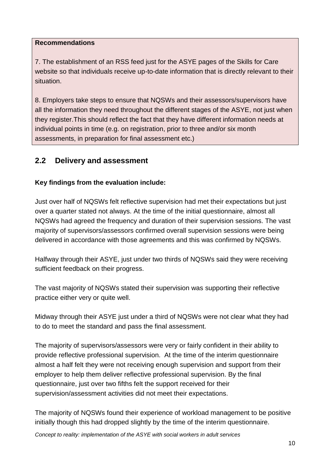#### **Recommendations**

7. The establishment of an RSS feed just for the ASYE pages of the Skills for Care website so that individuals receive up-to-date information that is directly relevant to their situation.

8. Employers take steps to ensure that NQSWs and their assessors/supervisors have all the information they need throughout the different stages of the ASYE, not just when they register.This should reflect the fact that they have different information needs at individual points in time (e.g. on registration, prior to three and/or six month assessments, in preparation for final assessment etc.)

# **2.2 Delivery and assessment**

#### **Key findings from the evaluation include:**

Just over half of NQSWs felt reflective supervision had met their expectations but just over a quarter stated not always. At the time of the initial questionnaire, almost all NQSWs had agreed the frequency and duration of their supervision sessions. The vast majority of supervisors/assessors confirmed overall supervision sessions were being delivered in accordance with those agreements and this was confirmed by NQSWs.

Halfway through their ASYE, just under two thirds of NQSWs said they were receiving sufficient feedback on their progress.

The vast majority of NQSWs stated their supervision was supporting their reflective practice either very or quite well.

Midway through their ASYE just under a third of NQSWs were not clear what they had to do to meet the standard and pass the final assessment.

The majority of supervisors/assessors were very or fairly confident in their ability to provide reflective professional supervision. At the time of the interim questionnaire almost a half felt they were not receiving enough supervision and support from their employer to help them deliver reflective professional supervision. By the final questionnaire, just over two fifths felt the support received for their supervision/assessment activities did not meet their expectations.

The majority of NQSWs found their experience of workload management to be positive initially though this had dropped slightly by the time of the interim questionnaire.

*Concept to reality: implementation of the ASYE with social workers in adult services*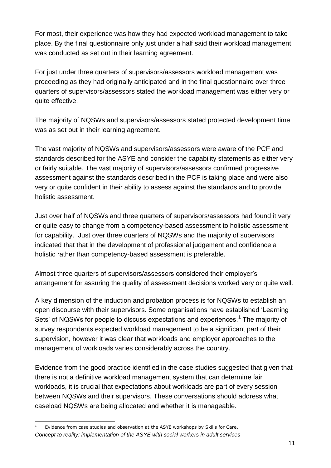For most, their experience was how they had expected workload management to take place. By the final questionnaire only just under a half said their workload management was conducted as set out in their learning agreement.

For just under three quarters of supervisors/assessors workload management was proceeding as they had originally anticipated and in the final questionnaire over three quarters of supervisors/assessors stated the workload management was either very or quite effective.

The majority of NQSWs and supervisors/assessors stated protected development time was as set out in their learning agreement.

The vast majority of NQSWs and supervisors/assessors were aware of the PCF and standards described for the ASYE and consider the capability statements as either very or fairly suitable. The vast majority of supervisors/assessors confirmed progressive assessment against the standards described in the PCF is taking place and were also very or quite confident in their ability to assess against the standards and to provide holistic assessment.

Just over half of NQSWs and three quarters of supervisors/assessors had found it very or quite easy to change from a competency-based assessment to holistic assessment for capability. Just over three quarters of NQSWs and the majority of supervisors indicated that that in the development of professional judgement and confidence a holistic rather than competency-based assessment is preferable.

Almost three quarters of supervisors/assessors considered their employer"s arrangement for assuring the quality of assessment decisions worked very or quite well.

A key dimension of the induction and probation process is for NQSWs to establish an open discourse with their supervisors. Some organisations have established "Learning Sets' of NQSWs for people to discuss expectations and experiences.<sup>1</sup> The majority of survey respondents expected workload management to be a significant part of their supervision, however it was clear that workloads and employer approaches to the management of workloads varies considerably across the country.

Evidence from the good practice identified in the case studies suggested that given that there is not a definitive workload management system that can determine fair workloads, it is crucial that expectations about workloads are part of every session between NQSWs and their supervisors. These conversations should address what caseload NQSWs are being allocated and whether it is manageable.

*Concept to reality: implementation of the ASYE with social workers in adult services* -Evidence from case studies and observation at the ASYE workshops by Skills for Care.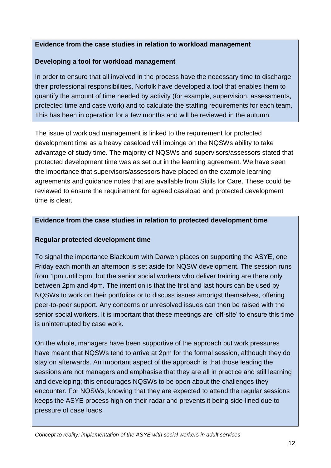#### **Evidence from the case studies in relation to workload management**

#### **Developing a tool for workload management**

In order to ensure that all involved in the process have the necessary time to discharge their professional responsibilities, Norfolk have developed a tool that enables them to quantify the amount of time needed by activity (for example, supervision, assessments, protected time and case work) and to calculate the staffing requirements for each team. This has been in operation for a few months and will be reviewed in the autumn.

The issue of workload management is linked to the requirement for protected development time as a heavy caseload will impinge on the NQSWs ability to take advantage of study time. The majority of NQSWs and supervisors/assessors stated that protected development time was as set out in the learning agreement. We have seen the importance that supervisors/assessors have placed on the example learning agreements and guidance notes that are available from Skills for Care. These could be reviewed to ensure the requirement for agreed caseload and protected development time is clear.

#### **Evidence from the case studies in relation to protected development time**

#### **Regular protected development time**

To signal the importance Blackburn with Darwen places on supporting the ASYE, one Friday each month an afternoon is set aside for NQSW development. The session runs from 1pm until 5pm, but the senior social workers who deliver training are there only between 2pm and 4pm. The intention is that the first and last hours can be used by NQSWs to work on their portfolios or to discuss issues amongst themselves, offering peer-to-peer support. Any concerns or unresolved issues can then be raised with the senior social workers. It is important that these meetings are 'off-site' to ensure this time is uninterrupted by case work.

On the whole, managers have been supportive of the approach but work pressures have meant that NQSWs tend to arrive at 2pm for the formal session, although they do stay on afterwards. An important aspect of the approach is that those leading the sessions are not managers and emphasise that they are all in practice and still learning and developing; this encourages NQSWs to be open about the challenges they encounter. For NQSWs, knowing that they are expected to attend the regular sessions keeps the ASYE process high on their radar and prevents it being side-lined due to pressure of case loads.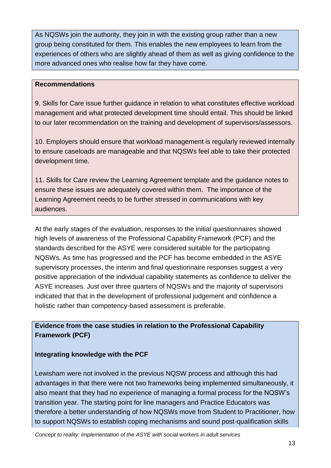As NQSWs join the authority, they join in with the existing group rather than a new group being constituted for them. This enables the new employees to learn from the experiences of others who are slightly ahead of them as well as giving confidence to the more advanced ones who realise how far they have come.

#### **Recommendations**

9. Skills for Care issue further guidance in relation to what constitutes effective workload management and what protected development time should entail. This should be linked to our later recommendation on the training and development of supervisors/assessors.

10. Employers should ensure that workload management is regularly reviewed internally to ensure caseloads are manageable and that NQSWs feel able to take their protected development time.

11. Skills for Care review the Learning Agreement template and the guidance notes to ensure these issues are adequately covered within them. The importance of the Learning Agreement needs to be further stressed in communications with key audiences.

At the early stages of the evaluation, responses to the initial questionnaires showed high levels of awareness of the Professional Capability Framework (PCF) and the standards described for the ASYE were considered suitable for the participating NQSWs. As time has progressed and the PCF has become embedded in the ASYE supervisory processes, the interim and final questionnaire responses suggest a very positive appreciation of the individual capability statements as confidence to deliver the ASYE increases. Just over three quarters of NQSWs and the majority of supervisors indicated that that in the development of professional judgement and confidence a holistic rather than competency-based assessment is preferable.

### **Evidence from the case studies in relation to the Professional Capability Framework (PCF)**

#### **Integrating knowledge with the PCF**

Lewisham were not involved in the previous NQSW process and although this had advantages in that there were not two frameworks being implemented simultaneously, it also meant that they had no experience of managing a formal process for the NQSW"s transition year. The starting point for line managers and Practice Educators was therefore a better understanding of how NQSWs move from Student to Practitioner, how to support NQSWs to establish coping mechanisms and sound post-qualification skills

*Concept to reality: implementation of the ASYE with social workers in adult services*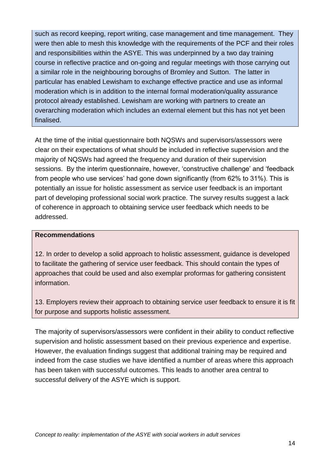such as record keeping, report writing, case management and time management. They were then able to mesh this knowledge with the requirements of the PCF and their roles and responsibilities within the ASYE. This was underpinned by a two day training course in reflective practice and on-going and regular meetings with those carrying out a similar role in the neighbouring boroughs of Bromley and Sutton. The latter in particular has enabled Lewisham to exchange effective practice and use as informal moderation which is in addition to the internal formal moderation/quality assurance protocol already established. Lewisham are working with partners to create an overarching moderation which includes an external element but this has not yet been finalised.

At the time of the initial questionnaire both NQSWs and supervisors/assessors were clear on their expectations of what should be included in reflective supervision and the majority of NQSWs had agreed the frequency and duration of their supervision sessions. By the interim questionnaire, however, 'constructive challenge' and 'feedback from people who use services" had gone down significantly (from 62% to 31%). This is potentially an issue for holistic assessment as service user feedback is an important part of developing professional social work practice. The survey results suggest a lack of coherence in approach to obtaining service user feedback which needs to be addressed.

#### **Recommendations**

12. In order to develop a solid approach to holistic assessment, guidance is developed to facilitate the gathering of service user feedback. This should contain the types of approaches that could be used and also exemplar proformas for gathering consistent information.

13. Employers review their approach to obtaining service user feedback to ensure it is fit for purpose and supports holistic assessment.

The majority of supervisors/assessors were confident in their ability to conduct reflective supervision and holistic assessment based on their previous experience and expertise. However, the evaluation findings suggest that additional training may be required and indeed from the case studies we have identified a number of areas where this approach has been taken with successful outcomes. This leads to another area central to successful delivery of the ASYE which is support.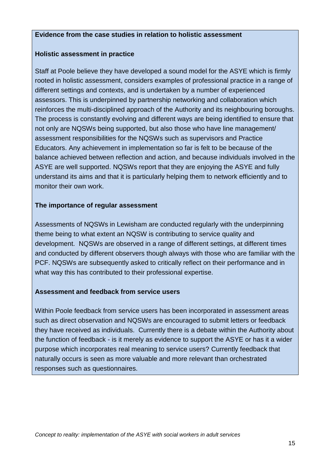#### **Evidence from the case studies in relation to holistic assessment**

#### **Holistic assessment in practice**

Staff at Poole believe they have developed a sound model for the ASYE which is firmly rooted in holistic assessment, considers examples of professional practice in a range of different settings and contexts, and is undertaken by a number of experienced assessors. This is underpinned by partnership networking and collaboration which reinforces the multi-disciplined approach of the Authority and its neighbouring boroughs. The process is constantly evolving and different ways are being identified to ensure that not only are NQSWs being supported, but also those who have line management/ assessment responsibilities for the NQSWs such as supervisors and Practice Educators. Any achievement in implementation so far is felt to be because of the balance achieved between reflection and action, and because individuals involved in the ASYE are well supported. NQSWs report that they are enjoying the ASYE and fully understand its aims and that it is particularly helping them to network efficiently and to monitor their own work.

#### **The importance of regular assessment**

Assessments of NQSWs in Lewisham are conducted regularly with the underpinning theme being to what extent an NQSW is contributing to service quality and development. NQSWs are observed in a range of different settings, at different times and conducted by different observers though always with those who are familiar with the PCF. NQSWs are subsequently asked to critically reflect on their performance and in what way this has contributed to their professional expertise.

#### **Assessment and feedback from service users**

Within Poole feedback from service users has been incorporated in assessment areas such as direct observation and NQSWs are encouraged to submit letters or feedback they have received as individuals. Currently there is a debate within the Authority about the function of feedback - is it merely as evidence to support the ASYE or has it a wider purpose which incorporates real meaning to service users? Currently feedback that naturally occurs is seen as more valuable and more relevant than orchestrated responses such as questionnaires.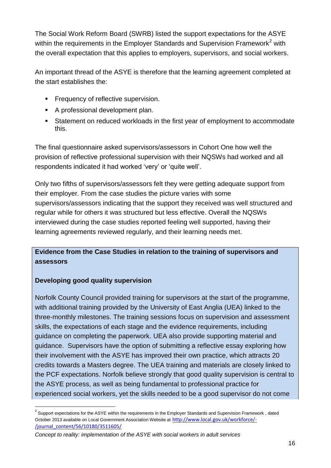The Social Work Reform Board (SWRB) listed the support expectations for the ASYE within the requirements in the Employer Standards and Supervision Framework<sup>2</sup> with the overall expectation that this applies to employers, supervisors, and social workers.

An important thread of the ASYE is therefore that the learning agreement completed at the start establishes the:

- **Frequency of reflective supervision.**
- A professional development plan.
- Statement on reduced workloads in the first year of employment to accommodate this.

The final questionnaire asked supervisors/assessors in Cohort One how well the provision of reflective professional supervision with their NQSWs had worked and all respondents indicated it had worked 'very' or 'quite well'.

Only two fifths of supervisors/assessors felt they were getting adequate support from their employer. From the case studies the picture varies with some supervisors/assessors indicating that the support they received was well structured and regular while for others it was structured but less effective. Overall the NQSWs interviewed during the case studies reported feeling well supported, having their learning agreements reviewed regularly, and their learning needs met.

### **Evidence from the Case Studies in relation to the training of supervisors and assessors**

### **Developing good quality supervision**

-

Norfolk County Council provided training for supervisors at the start of the programme, with additional training provided by the University of East Anglia (UEA) linked to the three-monthly milestones. The training sessions focus on supervision and assessment skills, the expectations of each stage and the evidence requirements, including guidance on completing the paperwork. UEA also provide supporting material and guidance. Supervisors have the option of submitting a reflective essay exploring how their involvement with the ASYE has improved their own practice, which attracts 20 credits towards a Masters degree. The UEA training and materials are closely linked to the PCF expectations. Norfolk believe strongly that good quality supervision is central to the ASYE process, as well as being fundamental to professional practice for experienced social workers, yet the skills needed to be a good supervisor do not come

 $2$  Support expectations for the ASYE within the requirements in the Employer Standards and Supervision Framework, dated October 2013 available on Local Government Association Website at [http://www.local.gov.uk/workforce/-](http://www.local.gov.uk/workforce/-/journal_content/56/10180/3511605/) [/journal\\_content/56/10180/3511605/](http://www.local.gov.uk/workforce/-/journal_content/56/10180/3511605/)

*Concept to reality: implementation of the ASYE with social workers in adult services*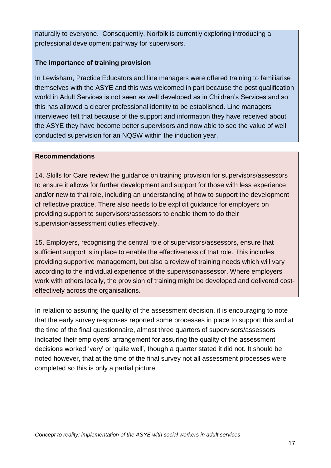naturally to everyone. Consequently, Norfolk is currently exploring introducing a professional development pathway for supervisors.

#### **The importance of training provision**

In Lewisham, Practice Educators and line managers were offered training to familiarise themselves with the ASYE and this was welcomed in part because the post qualification world in Adult Services is not seen as well developed as in Children"s Services and so this has allowed a clearer professional identity to be established. Line managers interviewed felt that because of the support and information they have received about the ASYE they have become better supervisors and now able to see the value of well conducted supervision for an NQSW within the induction year.

#### **Recommendations**

14. Skills for Care review the guidance on training provision for supervisors/assessors to ensure it allows for further development and support for those with less experience and/or new to that role, including an understanding of how to support the development of reflective practice. There also needs to be explicit guidance for employers on providing support to supervisors/assessors to enable them to do their supervision/assessment duties effectively.

15. Employers, recognising the central role of supervisors/assessors, ensure that sufficient support is in place to enable the effectiveness of that role. This includes providing supportive management, but also a review of training needs which will vary according to the individual experience of the supervisor/assessor. Where employers work with others locally, the provision of training might be developed and delivered costeffectively across the organisations.

In relation to assuring the quality of the assessment decision, it is encouraging to note that the early survey responses reported some processes in place to support this and at the time of the final questionnaire, almost three quarters of supervisors/assessors indicated their employers' arrangement for assuring the quality of the assessment decisions worked "very" or "quite well", though a quarter stated it did not. It should be noted however, that at the time of the final survey not all assessment processes were completed so this is only a partial picture.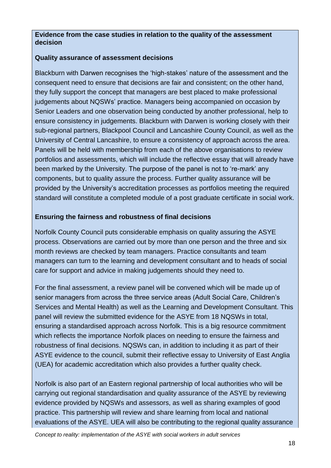#### **Evidence from the case studies in relation to the quality of the assessment decision**

#### **Quality assurance of assessment decisions**

Blackburn with Darwen recognises the "high-stakes" nature of the assessment and the consequent need to ensure that decisions are fair and consistent; on the other hand, they fully support the concept that managers are best placed to make professional judgements about NQSWs" practice. Managers being accompanied on occasion by Senior Leaders and one observation being conducted by another professional, help to ensure consistency in judgements. Blackburn with Darwen is working closely with their sub-regional partners, Blackpool Council and Lancashire County Council, as well as the University of Central Lancashire, to ensure a consistency of approach across the area. Panels will be held with membership from each of the above organisations to review portfolios and assessments, which will include the reflective essay that will already have been marked by the University. The purpose of the panel is not to "re-mark" any components, but to quality assure the process. Further quality assurance will be provided by the University"s accreditation processes as portfolios meeting the required standard will constitute a completed module of a post graduate certificate in social work.

#### **Ensuring the fairness and robustness of final decisions**

Norfolk County Council puts considerable emphasis on quality assuring the ASYE process. Observations are carried out by more than one person and the three and six month reviews are checked by team managers. Practice consultants and team managers can turn to the learning and development consultant and to heads of social care for support and advice in making judgements should they need to.

For the final assessment, a review panel will be convened which will be made up of senior managers from across the three service areas (Adult Social Care, Children"s Services and Mental Health) as well as the Learning and Development Consultant. This panel will review the submitted evidence for the ASYE from 18 NQSWs in total, ensuring a standardised approach across Norfolk. This is a big resource commitment which reflects the importance Norfolk places on needing to ensure the fairness and robustness of final decisions. NQSWs can, in addition to including it as part of their ASYE evidence to the council, submit their reflective essay to University of East Anglia (UEA) for academic accreditation which also provides a further quality check.

Norfolk is also part of an Eastern regional partnership of local authorities who will be carrying out regional standardisation and quality assurance of the ASYE by reviewing evidence provided by NQSWs and assessors, as well as sharing examples of good practice. This partnership will review and share learning from local and national evaluations of the ASYE. UEA will also be contributing to the regional quality assurance

*Concept to reality: implementation of the ASYE with social workers in adult services*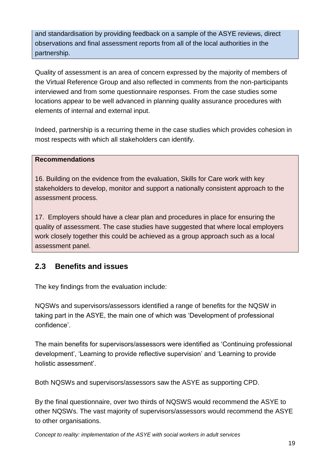and standardisation by providing feedback on a sample of the ASYE reviews, direct observations and final assessment reports from all of the local authorities in the partnership.

Quality of assessment is an area of concern expressed by the majority of members of the Virtual Reference Group and also reflected in comments from the non-participants interviewed and from some questionnaire responses. From the case studies some locations appear to be well advanced in planning quality assurance procedures with elements of internal and external input.

Indeed, partnership is a recurring theme in the case studies which provides cohesion in most respects with which all stakeholders can identify.

#### **Recommendations**

16. Building on the evidence from the evaluation, Skills for Care work with key stakeholders to develop, monitor and support a nationally consistent approach to the assessment process.

17. Employers should have a clear plan and procedures in place for ensuring the quality of assessment. The case studies have suggested that where local employers work closely together this could be achieved as a group approach such as a local assessment panel.

## **2.3 Benefits and issues**

The key findings from the evaluation include:

NQSWs and supervisors/assessors identified a range of benefits for the NQSW in taking part in the ASYE, the main one of which was "Development of professional confidence".

The main benefits for supervisors/assessors were identified as "Continuing professional development", "Learning to provide reflective supervision" and "Learning to provide holistic assessment".

Both NQSWs and supervisors/assessors saw the ASYE as supporting CPD.

By the final questionnaire, over two thirds of NQSWS would recommend the ASYE to other NQSWs. The vast majority of supervisors/assessors would recommend the ASYE to other organisations.

*Concept to reality: implementation of the ASYE with social workers in adult services*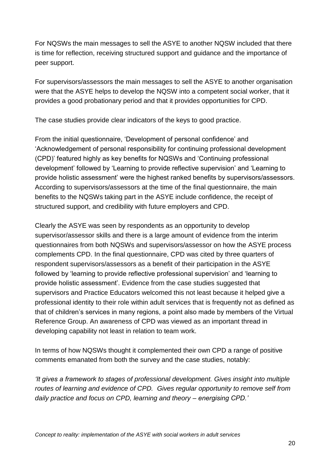For NQSWs the main messages to sell the ASYE to another NQSW included that there is time for reflection, receiving structured support and guidance and the importance of peer support.

For supervisors/assessors the main messages to sell the ASYE to another organisation were that the ASYE helps to develop the NQSW into a competent social worker, that it provides a good probationary period and that it provides opportunities for CPD.

The case studies provide clear indicators of the keys to good practice.

From the initial questionnaire, "Development of personal confidence" and "Acknowledgement of personal responsibility for continuing professional development (CPD)" featured highly as key benefits for NQSWs and "Continuing professional development" followed by "Learning to provide reflective supervision" and "Learning to provide holistic assessment" were the highest ranked benefits by supervisors/assessors. According to supervisors/assessors at the time of the final questionnaire, the main benefits to the NQSWs taking part in the ASYE include confidence, the receipt of structured support, and credibility with future employers and CPD.

Clearly the ASYE was seen by respondents as an opportunity to develop supervisor/assessor skills and there is a large amount of evidence from the interim questionnaires from both NQSWs and supervisors/assessor on how the ASYE process complements CPD. In the final questionnaire, CPD was cited by three quarters of respondent supervisors/assessors as a benefit of their participation in the ASYE followed by 'learning to provide reflective professional supervision' and 'learning to provide holistic assessment". Evidence from the case studies suggested that supervisors and Practice Educators welcomed this not least because it helped give a professional identity to their role within adult services that is frequently not as defined as that of children"s services in many regions, a point also made by members of the Virtual Reference Group. An awareness of CPD was viewed as an important thread in developing capability not least in relation to team work.

In terms of how NQSWs thought it complemented their own CPD a range of positive comments emanated from both the survey and the case studies, notably:

*'It gives a framework to stages of professional development. Gives insight into multiple routes of learning and evidence of CPD. Gives regular opportunity to remove self from daily practice and focus on CPD, learning and theory – energising CPD.'*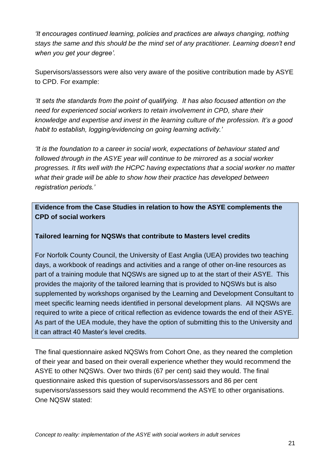*'It encourages continued learning, policies and practices are always changing, nothing stays the same and this should be the mind set of any practitioner. Learning doesn't end when you get your degree'.*

Supervisors/assessors were also very aware of the positive contribution made by ASYE to CPD. For example:

*'It sets the standards from the point of qualifying. It has also focused attention on the need for experienced social workers to retain involvement in CPD, share their knowledge and expertise and invest in the learning culture of the profession. It's a good habit to establish, logging/evidencing on going learning activity.'*

*'It is the foundation to a career in social work, expectations of behaviour stated and followed through in the ASYE year will continue to be mirrored as a social worker progresses. It fits well with the HCPC having expectations that a social worker no matter what their grade will be able to show how their practice has developed between registration periods.'*

**Evidence from the Case Studies in relation to how the ASYE complements the CPD of social workers**

#### **Tailored learning for NQSWs that contribute to Masters level credits**

For Norfolk County Council, the University of East Anglia (UEA) provides two teaching days, a workbook of readings and activities and a range of other on-line resources as part of a training module that NQSWs are signed up to at the start of their ASYE. This provides the majority of the tailored learning that is provided to NQSWs but is also supplemented by workshops organised by the Learning and Development Consultant to meet specific learning needs identified in personal development plans. All NQSWs are required to write a piece of critical reflection as evidence towards the end of their ASYE. As part of the UEA module, they have the option of submitting this to the University and it can attract 40 Master"s level credits.

The final questionnaire asked NQSWs from Cohort One, as they neared the completion of their year and based on their overall experience whether they would recommend the ASYE to other NQSWs. Over two thirds (67 per cent) said they would. The final questionnaire asked this question of supervisors/assessors and 86 per cent supervisors/assessors said they would recommend the ASYE to other organisations. One NQSW stated: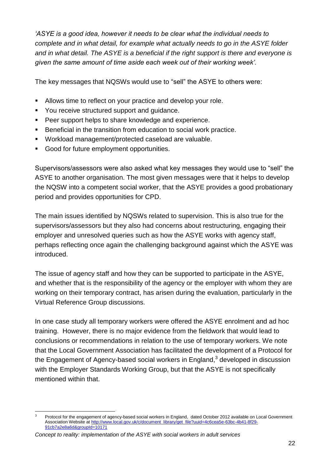*'ASYE is a good idea, however it needs to be clear what the individual needs to complete and in what detail, for example what actually needs to go in the ASYE folder and in what detail. The ASYE is a beneficial if the right support is there and everyone is given the same amount of time aside each week out of their working week'.*

The key messages that NQSWs would use to "sell" the ASYE to others were:

- Allows time to reflect on your practice and develop your role.
- **You receive structured support and quidance.**
- Peer support helps to share knowledge and experience.
- Beneficial in the transition from education to social work practice.
- Workload management/protected caseload are valuable.
- Good for future employment opportunities.

Supervisors/assessors were also asked what key messages they would use to "sell" the ASYE to another organisation. The most given messages were that it helps to develop the NQSW into a competent social worker, that the ASYE provides a good probationary period and provides opportunities for CPD.

The main issues identified by NQSWs related to supervision. This is also true for the supervisors/assessors but they also had concerns about restructuring, engaging their employer and unresolved queries such as how the ASYE works with agency staff, perhaps reflecting once again the challenging background against which the ASYE was introduced.

The issue of agency staff and how they can be supported to participate in the ASYE, and whether that is the responsibility of the agency or the employer with whom they are working on their temporary contract, has arisen during the evaluation, particularly in the Virtual Reference Group discussions.

In one case study all temporary workers were offered the ASYE enrolment and ad hoc training. However, there is no major evidence from the fieldwork that would lead to conclusions or recommendations in relation to the use of temporary workers. We note that the Local Government Association has facilitated the development of a Protocol for the Engagement of Agency-based social workers in England, $3$  developed in discussion with the Employer Standards Working Group, but that the ASYE is not specifically mentioned within that.

<sup>-</sup><sup>3</sup> Protocol for the engagement of agency-based social workers in England, dated October 2012 available on Local Government Association Website at [http://www.local.gov.uk/c/document\\_library/get\\_file?uuid=4c6cea5e-63bc-4b41-8f29-](http://www.local.gov.uk/c/document_library/get_file?uuid=4c6cea5e-63bc-4b41-8f29-91cb7a2e8a6d&groupId=10171) [91cb7a2e8a6d&groupId=10171](http://www.local.gov.uk/c/document_library/get_file?uuid=4c6cea5e-63bc-4b41-8f29-91cb7a2e8a6d&groupId=10171)

*Concept to reality: implementation of the ASYE with social workers in adult services*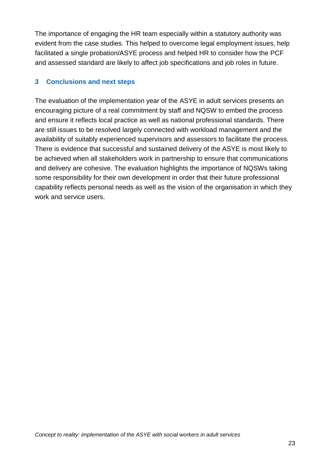The importance of engaging the HR team especially within a statutory authority was evident from the case studies. This helped to overcome legal employment issues, help facilitated a single probation/ASYE process and helped HR to consider how the PCF and assessed standard are likely to affect job specifications and job roles in future.

#### **3 Conclusions and next steps**

The evaluation of the implementation year of the ASYE in adult services presents an encouraging picture of a real commitment by staff and NQSW to embed the process and ensure it reflects local practice as well as national professional standards. There are still issues to be resolved largely connected with workload management and the availability of suitably experienced supervisors and assessors to facilitate the process. There is evidence that successful and sustained delivery of the ASYE is most likely to be achieved when all stakeholders work in partnership to ensure that communications and delivery are cohesive. The evaluation highlights the importance of NQSWs taking some responsibility for their own development in order that their future professional capability reflects personal needs as well as the vision of the organisation in which they work and service users.